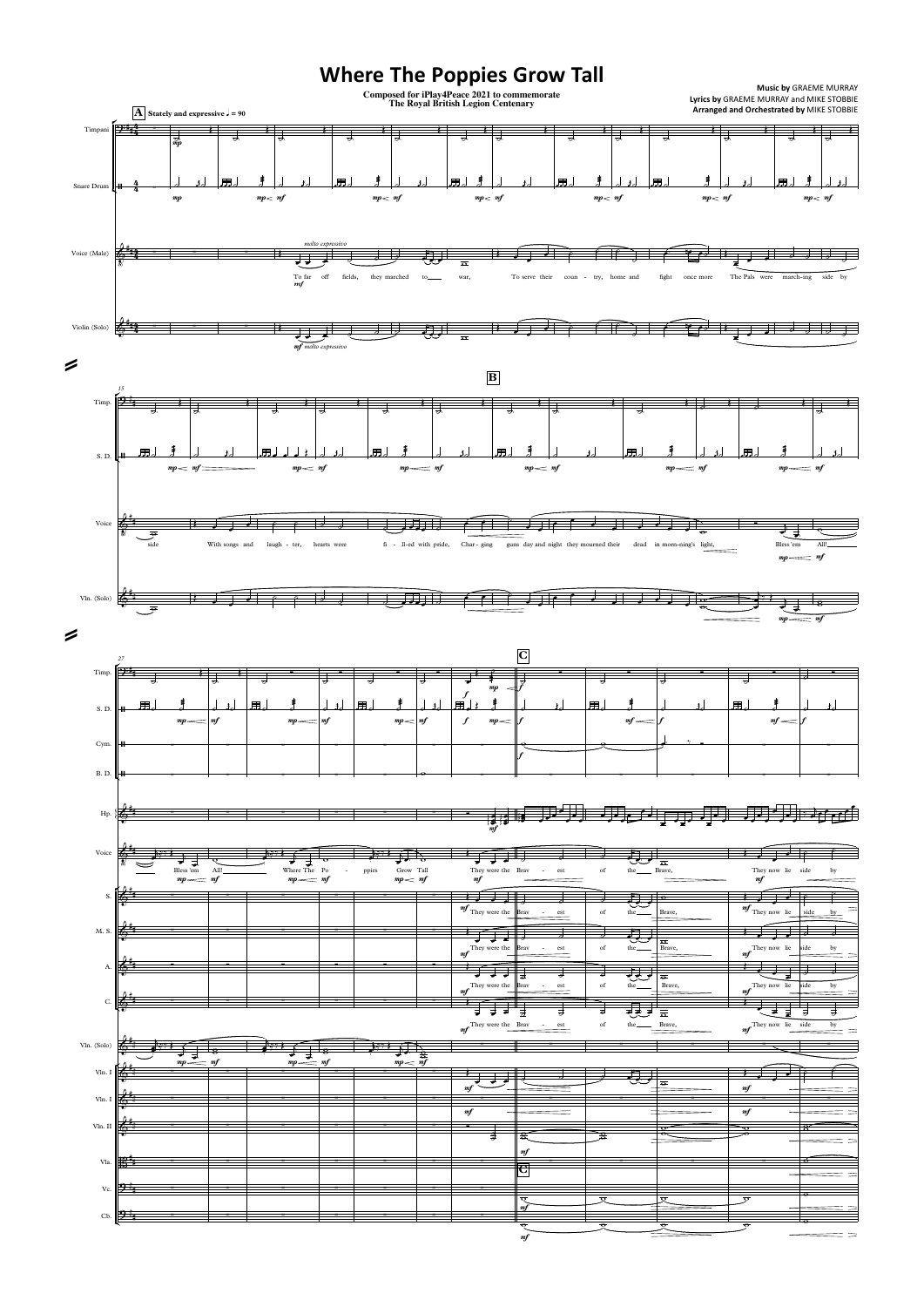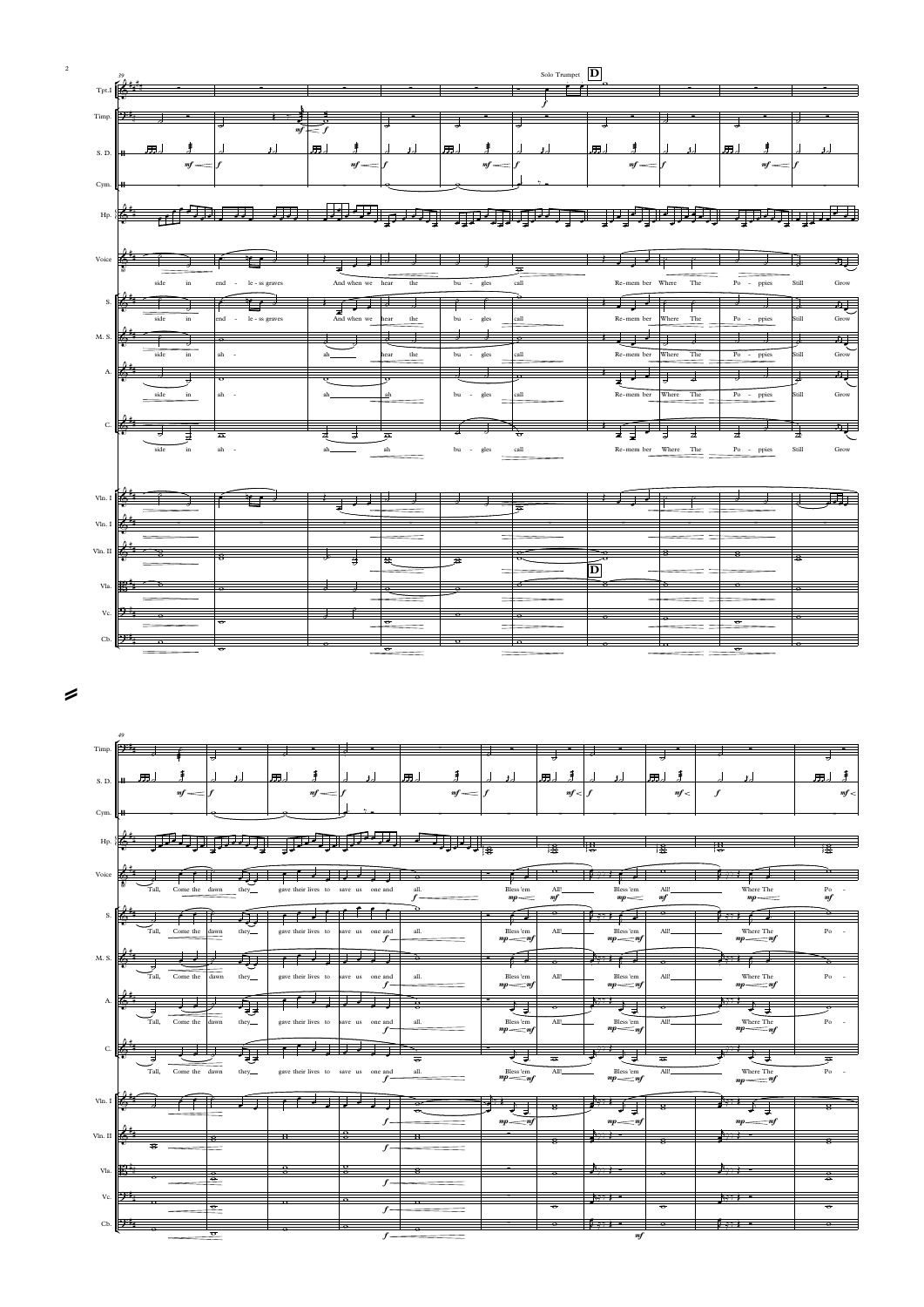



2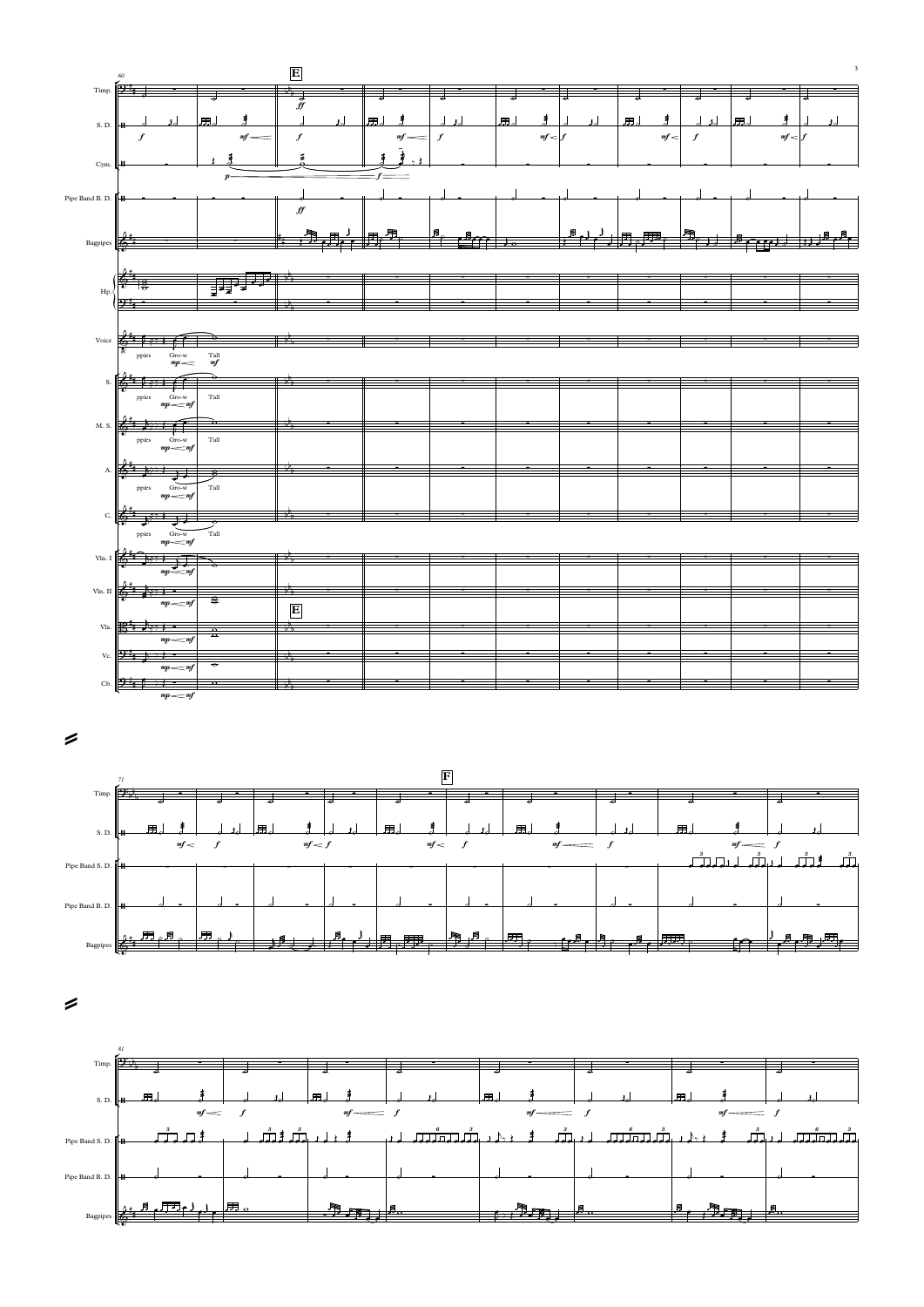



 $\mathcal{L}$  and the set of  $\mathcal{L}$ 

 $\mathcal{L}$  and the set of  $\mathcal{L}$ 

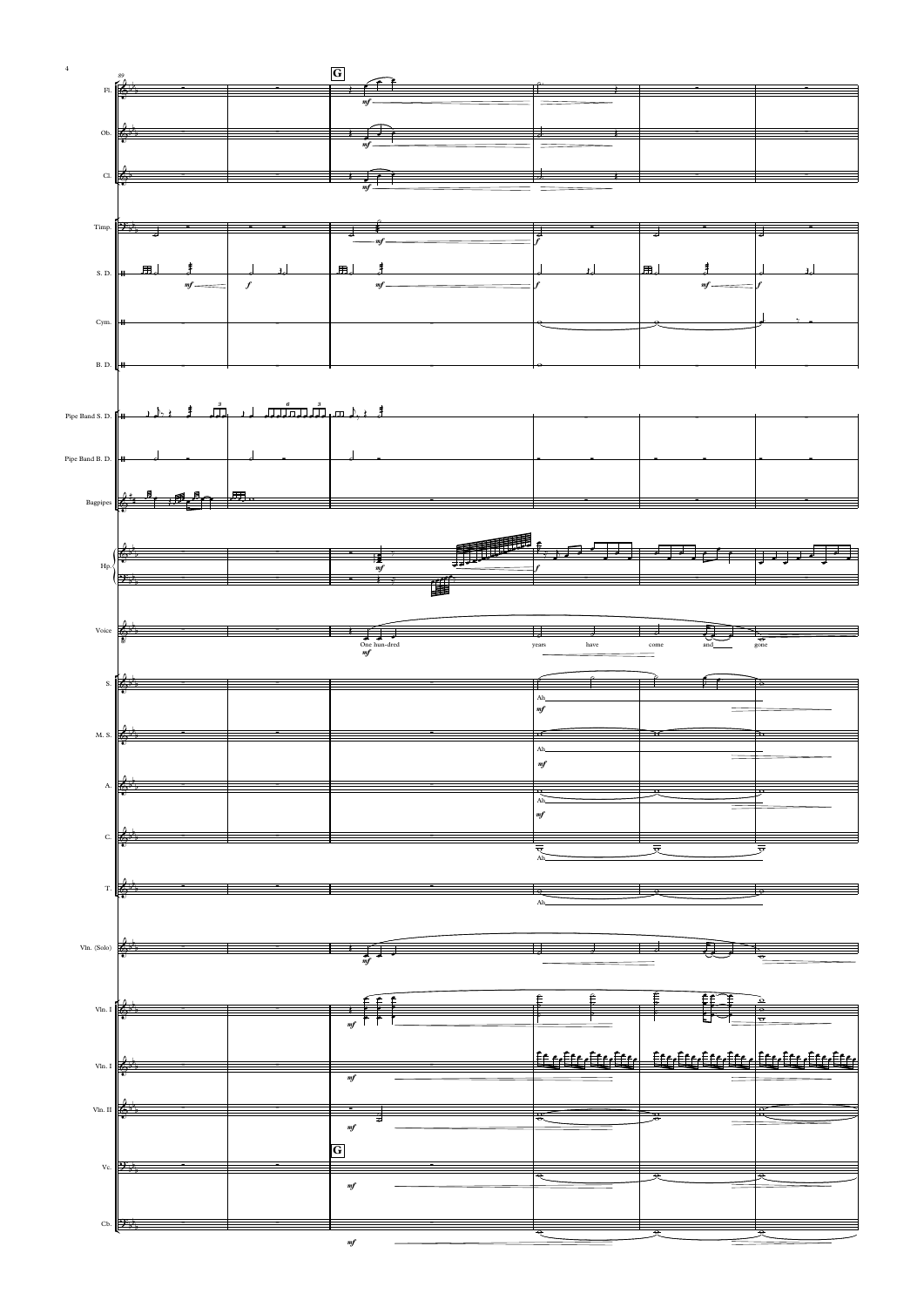

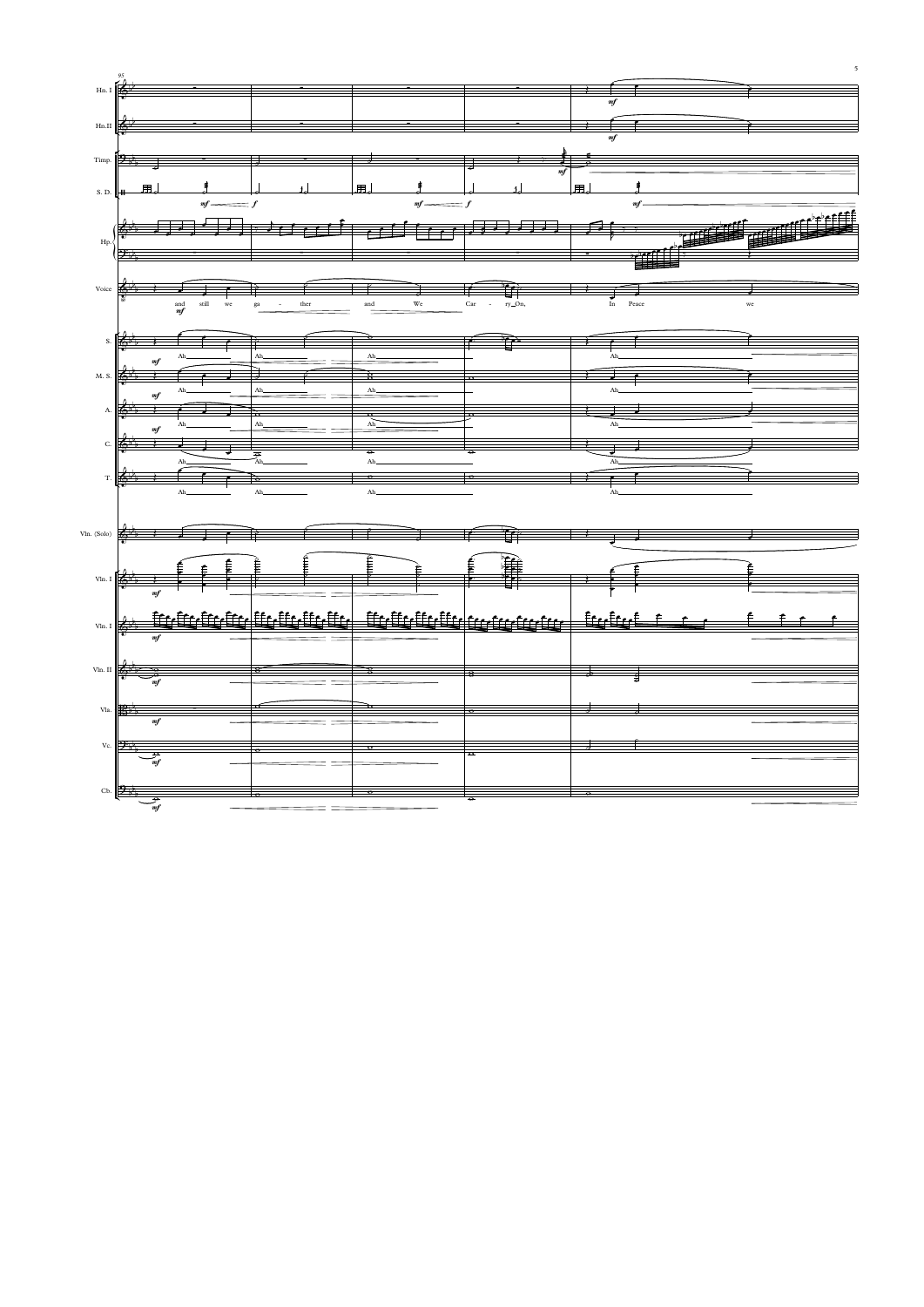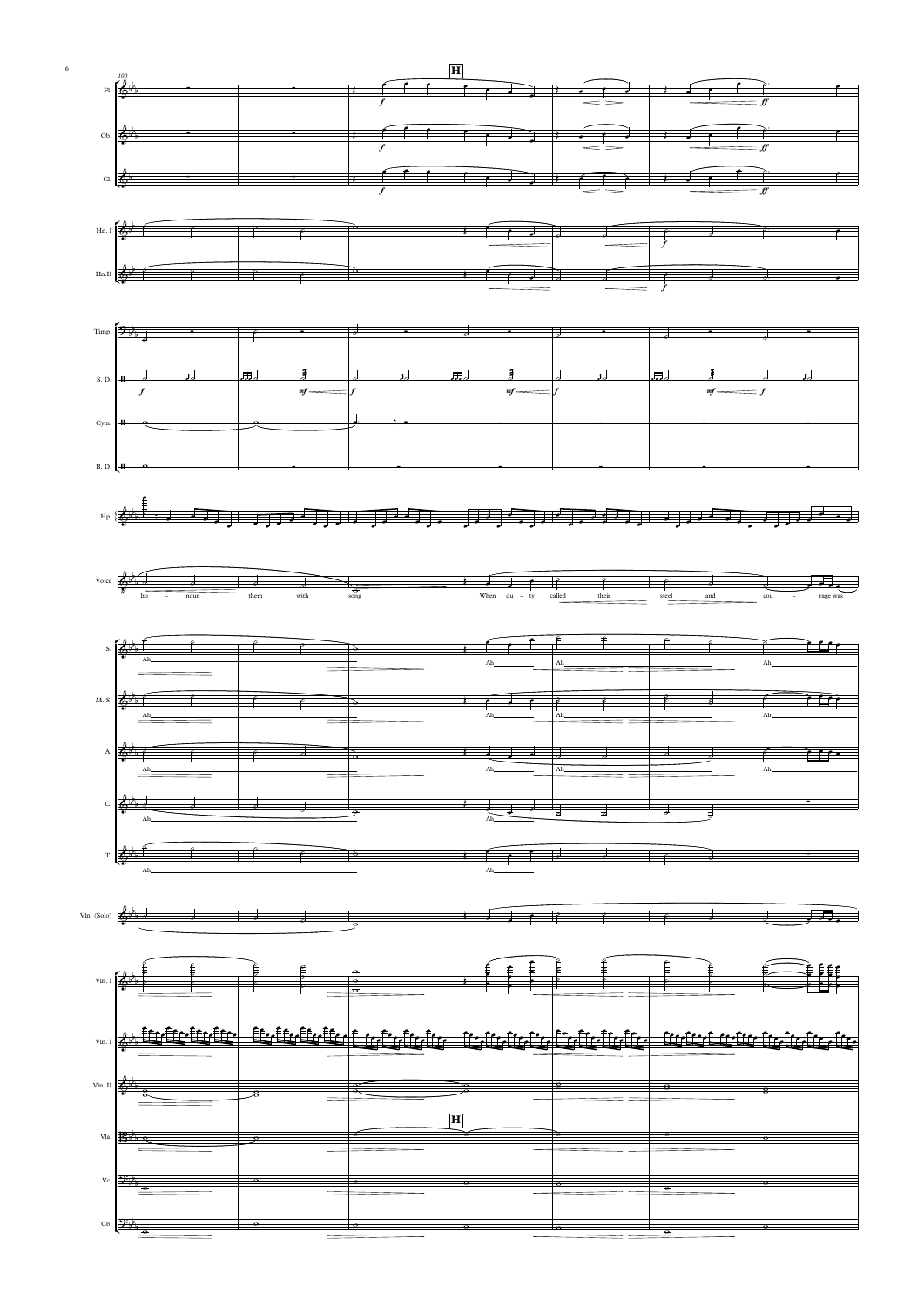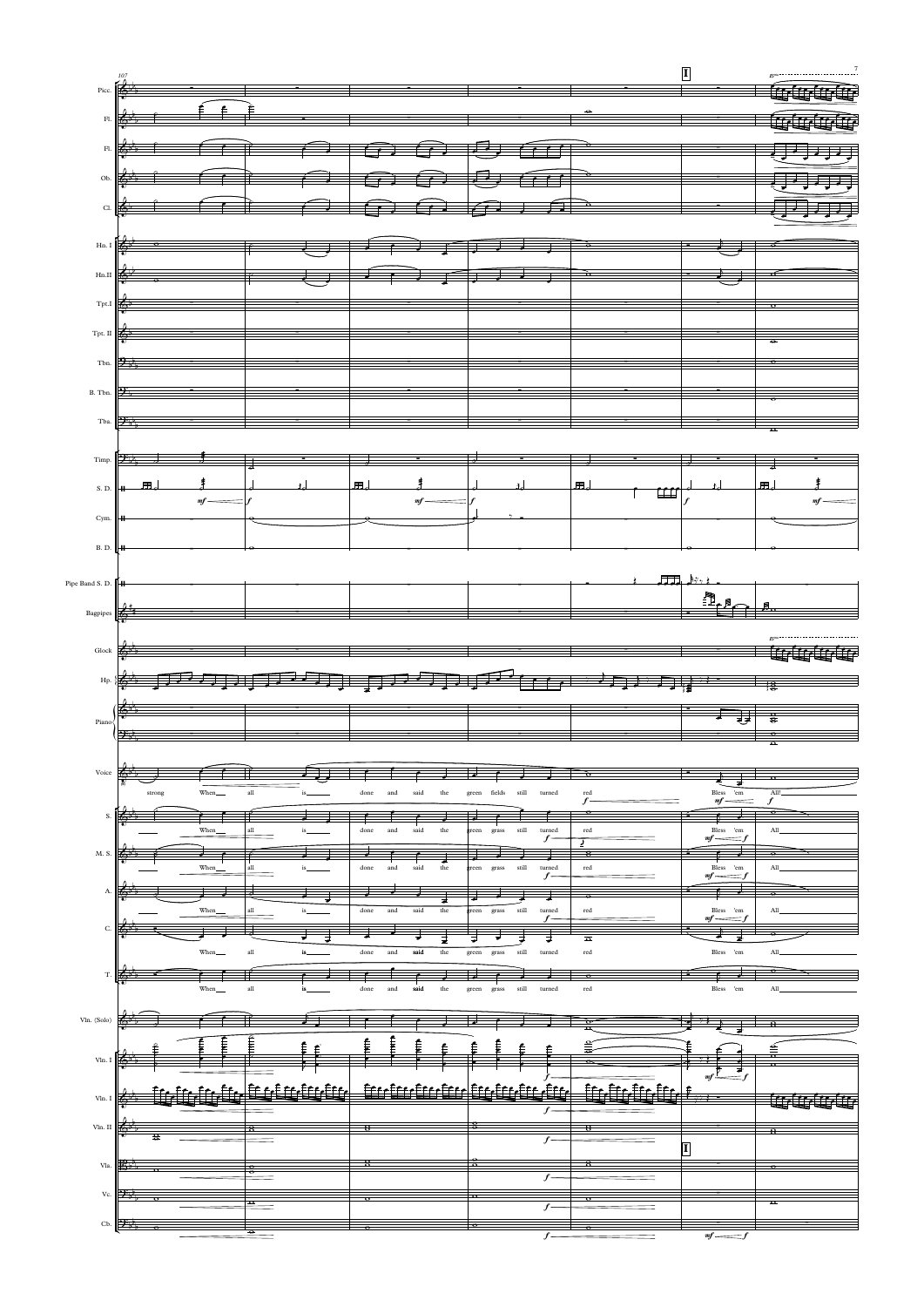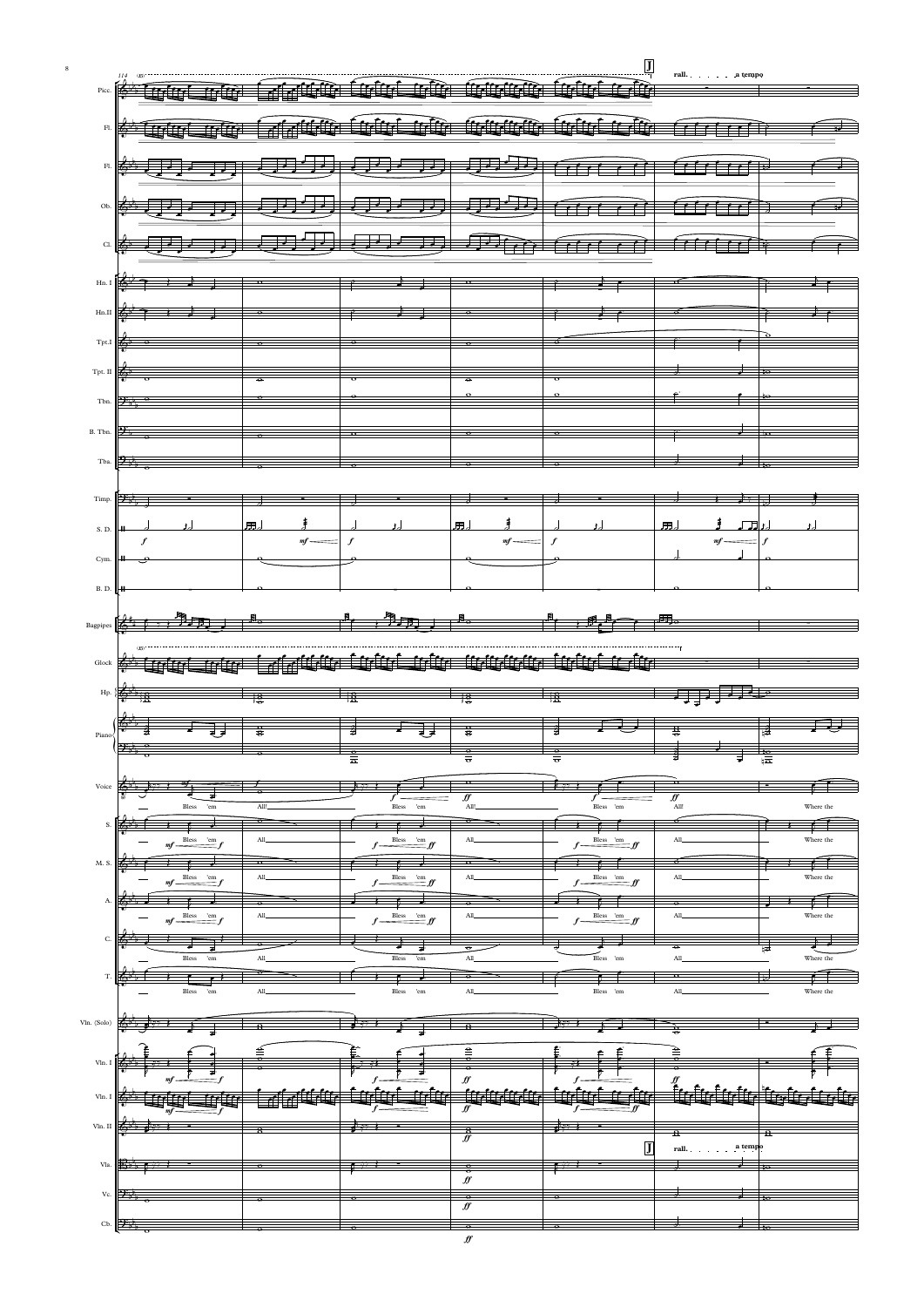

 $f\hspace{-0.8mm}f$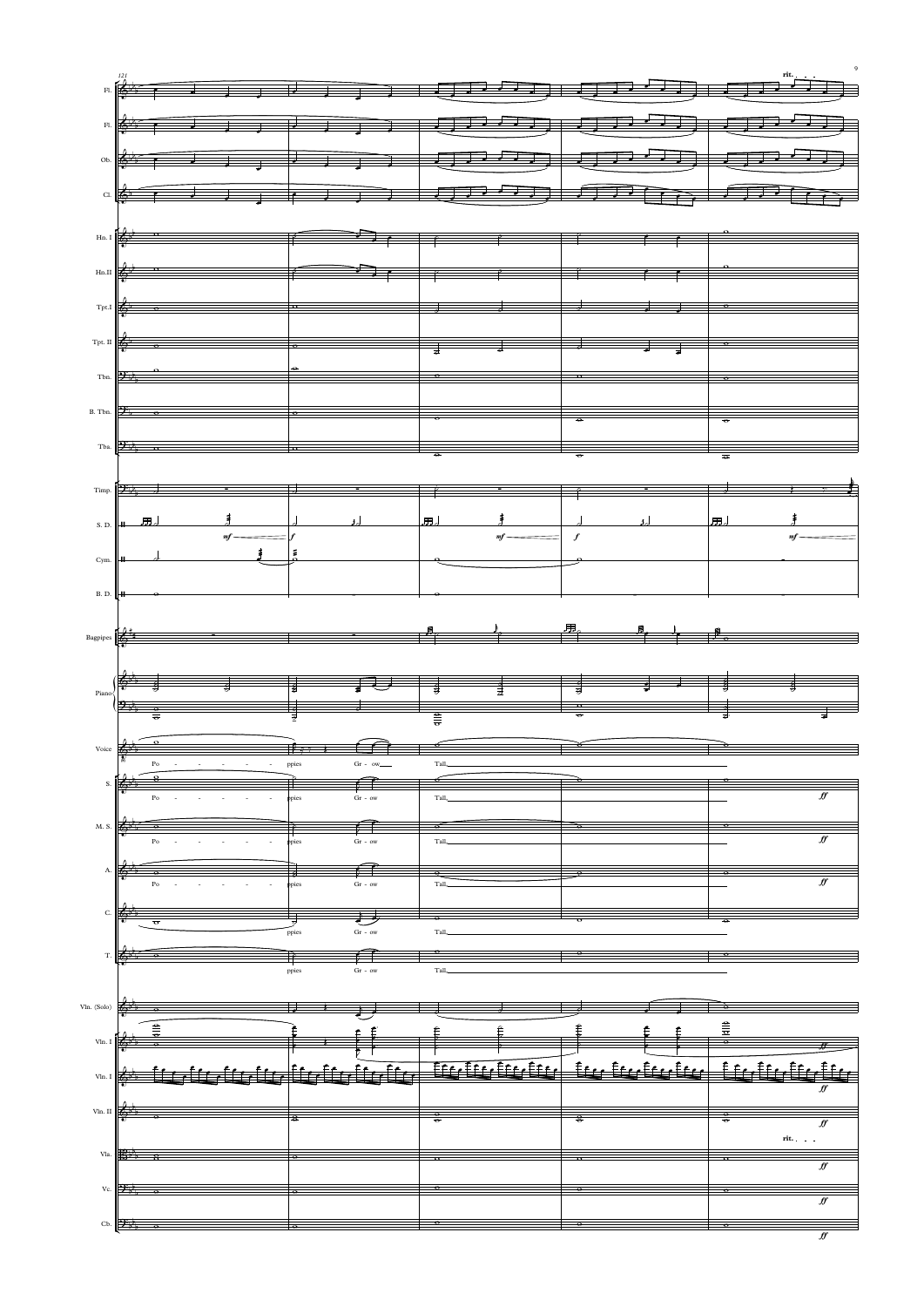



 $\overline{f}$